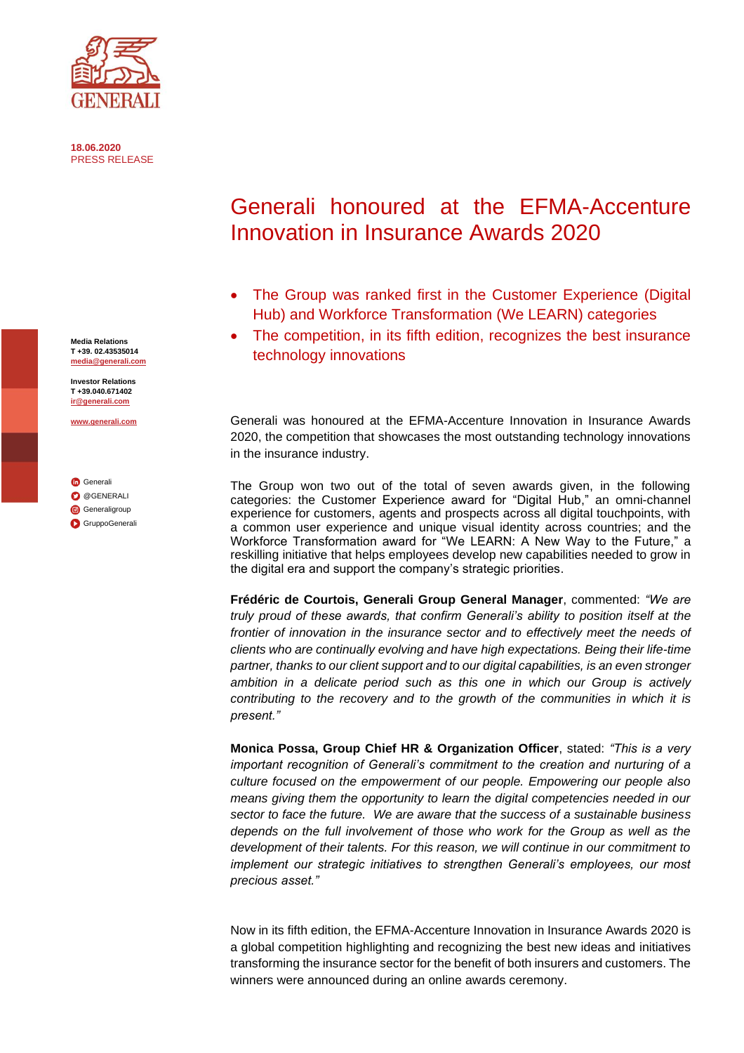

**18.06.2020** PRESS RELEASE

**Media Relations T +39. 02.43535014 [media@generali.com](mailto:media@generali.com)**

**Investor Relations T +39.040.671402 [ir@generali.com](mailto:ir@generali.com)**

**[www.generali.com](http://www.generali.com/)**

**G**[Generali](http://www.linkedin.com/company-beta/163967/) **O**[@GENERALI](http://www.twitter.com/GENERALI) **G**[Generaligroup](http://www.instagram.com/generaligroup/) [GruppoGenerali](http://www.youtube.com/user/GruppoGenerali)

## Generali honoured at the EFMA-Accenture Innovation in Insurance Awards 2020

- The Group was ranked first in the Customer Experience (Digital Hub) and Workforce Transformation (We LEARN) categories
- The competition, in its fifth edition, recognizes the best insurance technology innovations

Generali was honoured at the EFMA-Accenture Innovation in Insurance Awards 2020, the competition that showcases the most outstanding technology innovations in the insurance industry.

The Group won two out of the total of seven awards given, in the following categories: the Customer Experience award for "Digital Hub," an omni-channel experience for customers, agents and prospects across all digital touchpoints, with a common user experience and unique visual identity across countries; and the Workforce Transformation award for "We LEARN: A New Way to the Future," a reskilling initiative that helps employees develop new capabilities needed to grow in the digital era and support the company's strategic priorities.

**Frédéric de Courtois, Generali Group General Manager**, commented: *"We are truly proud of these awards, that confirm Generali's ability to position itself at the frontier of innovation in the insurance sector and to effectively meet the needs of clients who are continually evolving and have high expectations. Being their life-time partner, thanks to our client support and to our digital capabilities, is an even stronger ambition in a delicate period such as this one in which our Group is actively contributing to the recovery and to the growth of the communities in which it is present."*

**Monica Possa, Group Chief HR & Organization Officer**, stated: *"This is a very important recognition of Generali's commitment to the creation and nurturing of a culture focused on the empowerment of our people. Empowering our people also means giving them the opportunity to learn the digital competencies needed in our sector to face the future. We are aware that the success of a sustainable business depends on the full involvement of those who work for the Group as well as the development of their talents. For this reason, we will continue in our commitment to implement our strategic initiatives to strengthen Generali's employees, our most precious asset."*

Now in its fifth edition, the EFMA-Accenture Innovation in Insurance Awards 2020 is a global competition highlighting and recognizing the best new ideas and initiatives transforming the insurance sector for the benefit of both insurers and customers. The winners were announced during an online awards ceremony.